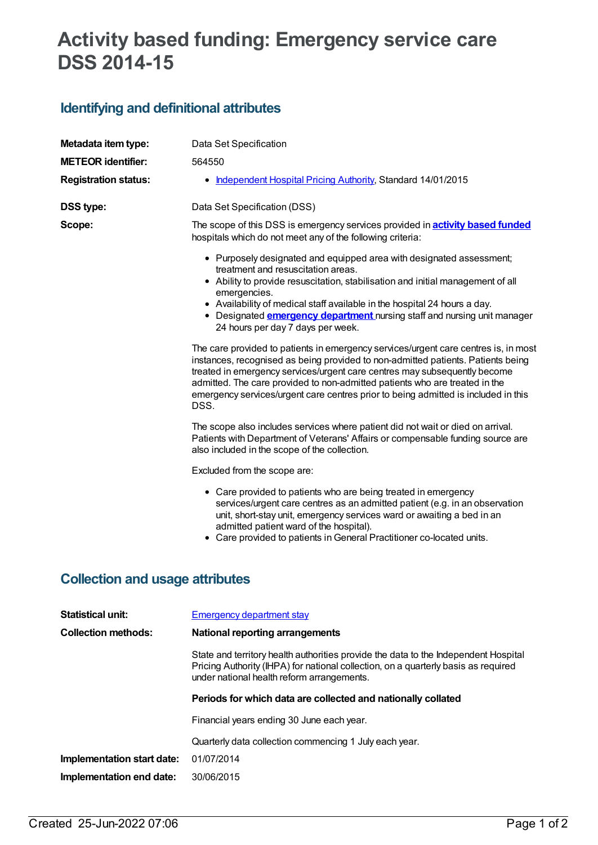## **Activity based funding: Emergency service care DSS 2014-15**

## **Identifying and definitional attributes**

| Metadata item type:         | Data Set Specification                                                                                                                                                                                                                                                                                                                                                                                                                                                                                                                                                                                                                                                                                                                                                                                                                                  |
|-----------------------------|---------------------------------------------------------------------------------------------------------------------------------------------------------------------------------------------------------------------------------------------------------------------------------------------------------------------------------------------------------------------------------------------------------------------------------------------------------------------------------------------------------------------------------------------------------------------------------------------------------------------------------------------------------------------------------------------------------------------------------------------------------------------------------------------------------------------------------------------------------|
| <b>METEOR</b> identifier:   | 564550                                                                                                                                                                                                                                                                                                                                                                                                                                                                                                                                                                                                                                                                                                                                                                                                                                                  |
| <b>Registration status:</b> | Independent Hospital Pricing Authority, Standard 14/01/2015<br>$\bullet$                                                                                                                                                                                                                                                                                                                                                                                                                                                                                                                                                                                                                                                                                                                                                                                |
| <b>DSS type:</b>            | Data Set Specification (DSS)                                                                                                                                                                                                                                                                                                                                                                                                                                                                                                                                                                                                                                                                                                                                                                                                                            |
| Scope:                      | The scope of this DSS is emergency services provided in <b>activity based funded</b><br>hospitals which do not meet any of the following criteria:                                                                                                                                                                                                                                                                                                                                                                                                                                                                                                                                                                                                                                                                                                      |
|                             | • Purposely designated and equipped area with designated assessment;<br>treatment and resuscitation areas.<br>• Ability to provide resuscitation, stabilisation and initial management of all<br>emergencies.<br>• Availability of medical staff available in the hospital 24 hours a day.<br>• Designated <b>emergency department</b> nursing staff and nursing unit manager<br>24 hours per day 7 days per week.<br>The care provided to patients in emergency services/urgent care centres is, in most<br>instances, recognised as being provided to non-admitted patients. Patients being<br>treated in emergency services/urgent care centres may subsequently become<br>admitted. The care provided to non-admitted patients who are treated in the<br>emergency services/urgent care centres prior to being admitted is included in this<br>DSS. |
|                             | The scope also includes services where patient did not wait or died on arrival.<br>Patients with Department of Veterans' Affairs or compensable funding source are<br>also included in the scope of the collection.                                                                                                                                                                                                                                                                                                                                                                                                                                                                                                                                                                                                                                     |
|                             | Excluded from the scope are:                                                                                                                                                                                                                                                                                                                                                                                                                                                                                                                                                                                                                                                                                                                                                                                                                            |
|                             | • Care provided to patients who are being treated in emergency<br>services/urgent care centres as an admitted patient (e.g. in an observation<br>unit, short-stay unit, emergency services ward or awaiting a bed in an<br>admitted patient ward of the hospital).<br>• Care provided to patients in General Practitioner co-located units.                                                                                                                                                                                                                                                                                                                                                                                                                                                                                                             |

## **Collection and usage attributes**

| <b>Statistical unit:</b>   | Emergency department stay                                                                                                                                                                                               |  |  |
|----------------------------|-------------------------------------------------------------------------------------------------------------------------------------------------------------------------------------------------------------------------|--|--|
| <b>Collection methods:</b> | National reporting arrangements                                                                                                                                                                                         |  |  |
|                            | State and territory health authorities provide the data to the Independent Hospital<br>Pricing Authority (IHPA) for national collection, on a quarterly basis as required<br>under national health reform arrangements. |  |  |
|                            | Periods for which data are collected and nationally collated                                                                                                                                                            |  |  |
|                            | Financial years ending 30 June each year.                                                                                                                                                                               |  |  |
|                            | Quarterly data collection commencing 1 July each year.                                                                                                                                                                  |  |  |
| Implementation start date: | 01/07/2014                                                                                                                                                                                                              |  |  |
| Implementation end date:   | 30/06/2015                                                                                                                                                                                                              |  |  |